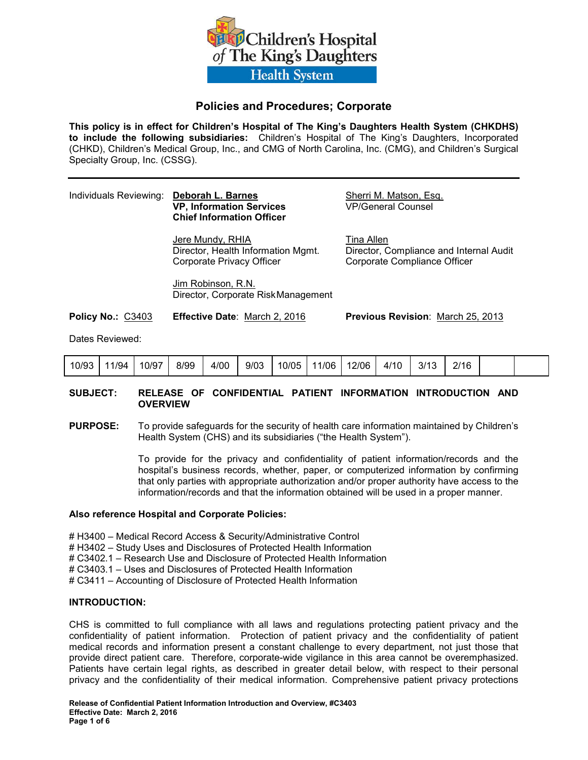

# **Policies and Procedures; Corporate**

**This policy is in effect for Children's Hospital of The King's Daughters Health System (CHKDHS) to include the following subsidiaries:** Children's Hospital of The King's Daughters, Incorporated (CHKD), Children's Medical Group, Inc., and CMG of North Carolina, Inc. (CMG), and Children's Surgical Specialty Group, Inc. (CSSG).

#### Individuals Reviewing: **Deborah L. Barnes Sherri M. Matson, Esq. 68. Exp. 20. Exp. 20. Exp. 20. Exp. 20. Exp. 20. Exp. 20. Exp. 20. Exp. 20. Exp. 20. Exp. 20. Exp. 20. Exp. 20. Exp. 20. Exp. 20. Exp. 20. Exp. 20. Exp. 20 VP, Information Services Chief Information Officer**

**Jere Mundy, RHIA** Tina Allen Corporate Privacy Officer Corporate Compliance Officer

Director, Health Information Mgmt. Director, Compliance and Internal Audit

 Jim Robinson, R.N. Director, Corporate Risk Management

**Policy No.:** C3403 **Effective Date**: March 2, 2016 **Previous Revision**: March 25, 2013

Dates Reviewed:

| 10/93 | 11/94 | 10/97 | 8/99 | 4/00 | 9/03 | 10/05 | 11/06 | 12/06 | 4/10 | 3/13<br>ن ا | $^{\prime\prime}$ 16 |  |  |  |
|-------|-------|-------|------|------|------|-------|-------|-------|------|-------------|----------------------|--|--|--|
|-------|-------|-------|------|------|------|-------|-------|-------|------|-------------|----------------------|--|--|--|

### **SUBJECT: RELEASE OF CONFIDENTIAL PATIENT INFORMATION INTRODUCTION AND OVERVIEW**

**PURPOSE:** To provide safeguards for the security of health care information maintained by Children's Health System (CHS) and its subsidiaries ("the Health System").

> To provide for the privacy and confidentiality of patient information/records and the hospital's business records, whether, paper, or computerized information by confirming that only parties with appropriate authorization and/or proper authority have access to the information/records and that the information obtained will be used in a proper manner.

#### **Also reference Hospital and Corporate Policies:**

# H3400 – Medical Record Access & Security/Administrative Control

- # H3402 Study Uses and Disclosures of Protected Health Information
- # C3402.1 Research Use and Disclosure of Protected Health Information
- # C3403.1 Uses and Disclosures of Protected Health Information
- # C3411 Accounting of Disclosure of Protected Health Information

#### **INTRODUCTION:**

CHS is committed to full compliance with all laws and regulations protecting patient privacy and the confidentiality of patient information. Protection of patient privacy and the confidentiality of patient medical records and information present a constant challenge to every department, not just those that provide direct patient care. Therefore, corporate-wide vigilance in this area cannot be overemphasized. Patients have certain legal rights, as described in greater detail below, with respect to their personal privacy and the confidentiality of their medical information. Comprehensive patient privacy protections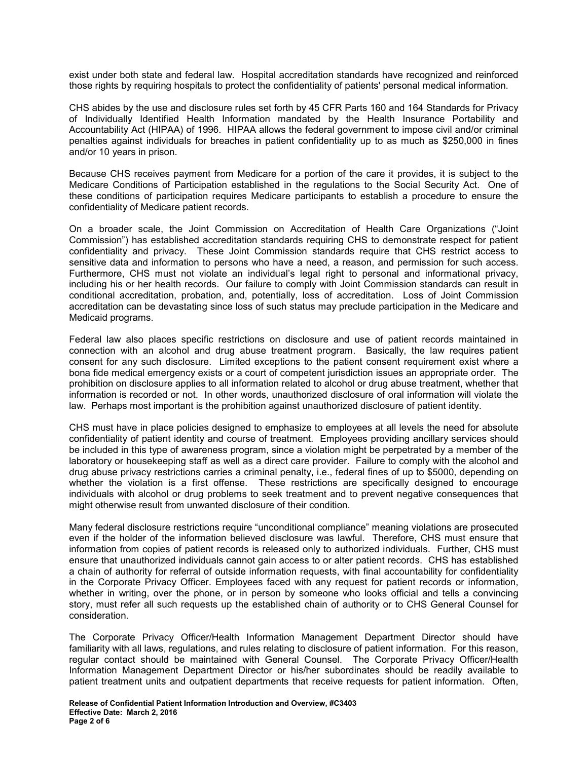exist under both state and federal law. Hospital accreditation standards have recognized and reinforced those rights by requiring hospitals to protect the confidentiality of patients' personal medical information.

CHS abides by the use and disclosure rules set forth by 45 CFR Parts 160 and 164 Standards for Privacy of Individually Identified Health Information mandated by the Health Insurance Portability and Accountability Act (HIPAA) of 1996. HIPAA allows the federal government to impose civil and/or criminal penalties against individuals for breaches in patient confidentiality up to as much as \$250,000 in fines and/or 10 years in prison.

Because CHS receives payment from Medicare for a portion of the care it provides, it is subject to the Medicare Conditions of Participation established in the regulations to the Social Security Act. One of these conditions of participation requires Medicare participants to establish a procedure to ensure the confidentiality of Medicare patient records.

On a broader scale, the Joint Commission on Accreditation of Health Care Organizations ("Joint Commission") has established accreditation standards requiring CHS to demonstrate respect for patient confidentiality and privacy. These Joint Commission standards require that CHS restrict access to sensitive data and information to persons who have a need, a reason, and permission for such access. Furthermore, CHS must not violate an individual's legal right to personal and informational privacy, including his or her health records. Our failure to comply with Joint Commission standards can result in conditional accreditation, probation, and, potentially, loss of accreditation. Loss of Joint Commission accreditation can be devastating since loss of such status may preclude participation in the Medicare and Medicaid programs.

Federal law also places specific restrictions on disclosure and use of patient records maintained in connection with an alcohol and drug abuse treatment program. Basically, the law requires patient consent for any such disclosure. Limited exceptions to the patient consent requirement exist where a bona fide medical emergency exists or a court of competent jurisdiction issues an appropriate order. The prohibition on disclosure applies to all information related to alcohol or drug abuse treatment, whether that information is recorded or not. In other words, unauthorized disclosure of oral information will violate the law. Perhaps most important is the prohibition against unauthorized disclosure of patient identity.

CHS must have in place policies designed to emphasize to employees at all levels the need for absolute confidentiality of patient identity and course of treatment. Employees providing ancillary services should be included in this type of awareness program, since a violation might be perpetrated by a member of the laboratory or housekeeping staff as well as a direct care provider. Failure to comply with the alcohol and drug abuse privacy restrictions carries a criminal penalty, i.e., federal fines of up to \$5000, depending on whether the violation is a first offense. These restrictions are specifically designed to encourage individuals with alcohol or drug problems to seek treatment and to prevent negative consequences that might otherwise result from unwanted disclosure of their condition.

Many federal disclosure restrictions require "unconditional compliance" meaning violations are prosecuted even if the holder of the information believed disclosure was lawful. Therefore, CHS must ensure that information from copies of patient records is released only to authorized individuals. Further, CHS must ensure that unauthorized individuals cannot gain access to or alter patient records. CHS has established a chain of authority for referral of outside information requests, with final accountability for confidentiality in the Corporate Privacy Officer. Employees faced with any request for patient records or information, whether in writing, over the phone, or in person by someone who looks official and tells a convincing story, must refer all such requests up the established chain of authority or to CHS General Counsel for consideration.

The Corporate Privacy Officer/Health Information Management Department Director should have familiarity with all laws, regulations, and rules relating to disclosure of patient information. For this reason, regular contact should be maintained with General Counsel. The Corporate Privacy Officer/Health Information Management Department Director or his/her subordinates should be readily available to patient treatment units and outpatient departments that receive requests for patient information. Often,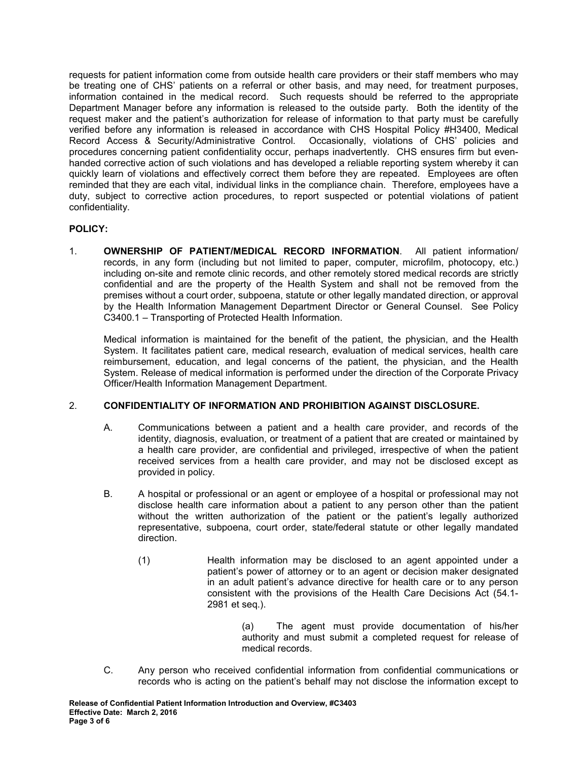requests for patient information come from outside health care providers or their staff members who may be treating one of CHS' patients on a referral or other basis, and may need, for treatment purposes, information contained in the medical record. Such requests should be referred to the appropriate Department Manager before any information is released to the outside party. Both the identity of the request maker and the patient's authorization for release of information to that party must be carefully verified before any information is released in accordance with CHS Hospital Policy #H3400, Medical Record Access & Security/Administrative Control. Occasionally, violations of CHS' policies and procedures concerning patient confidentiality occur, perhaps inadvertently. CHS ensures firm but evenhanded corrective action of such violations and has developed a reliable reporting system whereby it can quickly learn of violations and effectively correct them before they are repeated. Employees are often reminded that they are each vital, individual links in the compliance chain. Therefore, employees have a duty, subject to corrective action procedures, to report suspected or potential violations of patient confidentiality.

## **POLICY:**

1. **OWNERSHIP OF PATIENT/MEDICAL RECORD INFORMATION**. All patient information/ records, in any form (including but not limited to paper, computer, microfilm, photocopy, etc.) including on-site and remote clinic records, and other remotely stored medical records are strictly confidential and are the property of the Health System and shall not be removed from the premises without a court order, subpoena, statute or other legally mandated direction, or approval by the Health Information Management Department Director or General Counsel. See Policy C3400.1 – Transporting of Protected Health Information.

Medical information is maintained for the benefit of the patient, the physician, and the Health System. It facilitates patient care, medical research, evaluation of medical services, health care reimbursement, education, and legal concerns of the patient, the physician, and the Health System. Release of medical information is performed under the direction of the Corporate Privacy Officer/Health Information Management Department.

### 2. **CONFIDENTIALITY OF INFORMATION AND PROHIBITION AGAINST DISCLOSURE.**

- A. Communications between a patient and a health care provider, and records of the identity, diagnosis, evaluation, or treatment of a patient that are created or maintained by a health care provider, are confidential and privileged, irrespective of when the patient received services from a health care provider, and may not be disclosed except as provided in policy.
- B. A hospital or professional or an agent or employee of a hospital or professional may not disclose health care information about a patient to any person other than the patient without the written authorization of the patient or the patient's legally authorized representative, subpoena, court order, state/federal statute or other legally mandated direction.
	- (1) Health information may be disclosed to an agent appointed under a patient's power of attorney or to an agent or decision maker designated in an adult patient's advance directive for health care or to any person consistent with the provisions of the Health Care Decisions Act (54.1- 2981 et seq.).

 (a) The agent must provide documentation of his/her authority and must submit a completed request for release of medical records.

C. Any person who received confidential information from confidential communications or records who is acting on the patient's behalf may not disclose the information except to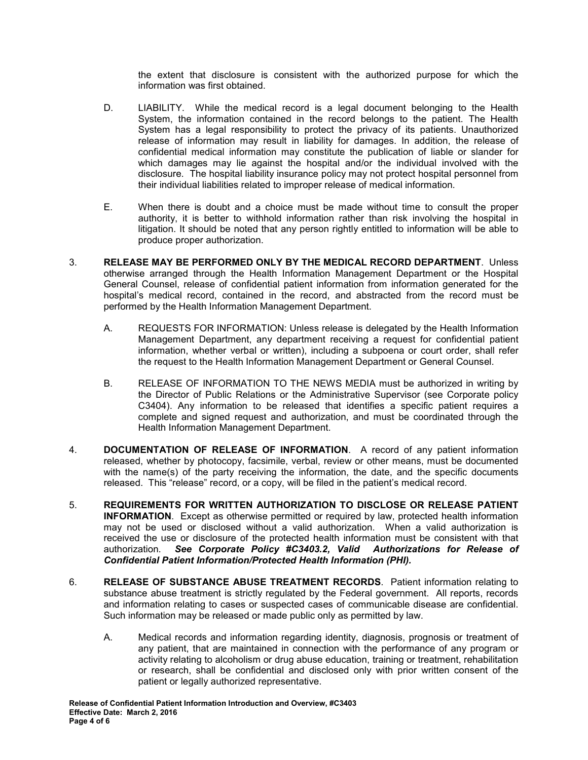the extent that disclosure is consistent with the authorized purpose for which the information was first obtained.

- D. LIABILITY. While the medical record is a legal document belonging to the Health System, the information contained in the record belongs to the patient. The Health System has a legal responsibility to protect the privacy of its patients. Unauthorized release of information may result in liability for damages. In addition, the release of confidential medical information may constitute the publication of liable or slander for which damages may lie against the hospital and/or the individual involved with the disclosure. The hospital liability insurance policy may not protect hospital personnel from their individual liabilities related to improper release of medical information.
- E. When there is doubt and a choice must be made without time to consult the proper authority, it is better to withhold information rather than risk involving the hospital in litigation. It should be noted that any person rightly entitled to information will be able to produce proper authorization.
- 3. **RELEASE MAY BE PERFORMED ONLY BY THE MEDICAL RECORD DEPARTMENT**. Unless otherwise arranged through the Health Information Management Department or the Hospital General Counsel, release of confidential patient information from information generated for the hospital's medical record, contained in the record, and abstracted from the record must be performed by the Health Information Management Department.
	- A. REQUESTS FOR INFORMATION: Unless release is delegated by the Health Information Management Department, any department receiving a request for confidential patient information, whether verbal or written), including a subpoena or court order, shall refer the request to the Health Information Management Department or General Counsel.
	- B. RELEASE OF INFORMATION TO THE NEWS MEDIA must be authorized in writing by the Director of Public Relations or the Administrative Supervisor (see Corporate policy C3404). Any information to be released that identifies a specific patient requires a complete and signed request and authorization, and must be coordinated through the Health Information Management Department.
- 4. **DOCUMENTATION OF RELEASE OF INFORMATION**. A record of any patient information released, whether by photocopy, facsimile, verbal, review or other means, must be documented with the name(s) of the party receiving the information, the date, and the specific documents released. This "release" record, or a copy, will be filed in the patient's medical record.
- 5. **REQUIREMENTS FOR WRITTEN AUTHORIZATION TO DISCLOSE OR RELEASE PATIENT INFORMATION**. Except as otherwise permitted or required by law, protected health information may not be used or disclosed without a valid authorization. When a valid authorization is received the use or disclosure of the protected health information must be consistent with that authorization. *See Corporate Policy #C3403.2, Valid Authorizations for Release of Confidential Patient Information/Protected Health Information (PHI).*
- 6. **RELEASE OF SUBSTANCE ABUSE TREATMENT RECORDS**. Patient information relating to substance abuse treatment is strictly regulated by the Federal government. All reports, records and information relating to cases or suspected cases of communicable disease are confidential. Such information may be released or made public only as permitted by law.
	- A. Medical records and information regarding identity, diagnosis, prognosis or treatment of any patient, that are maintained in connection with the performance of any program or activity relating to alcoholism or drug abuse education, training or treatment, rehabilitation or research, shall be confidential and disclosed only with prior written consent of the patient or legally authorized representative.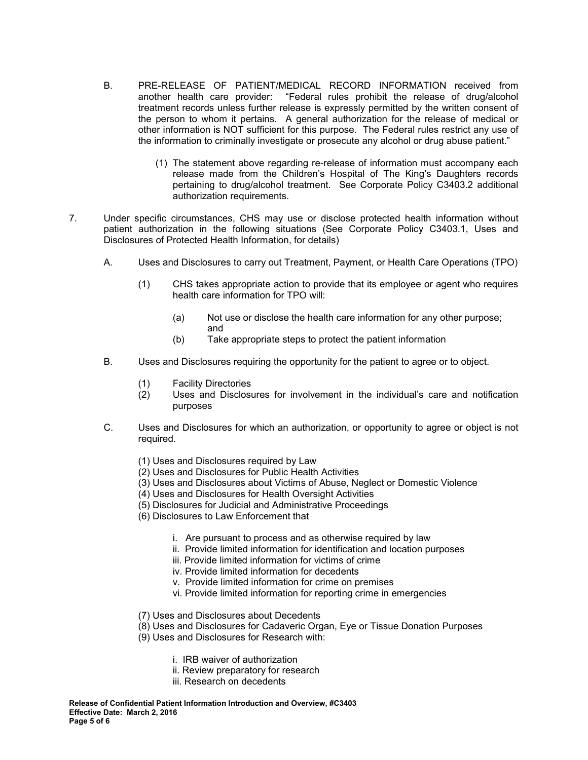- B. PRE-RELEASE OF PATIENT/MEDICAL RECORD INFORMATION received from another health care provider: "Federal rules prohibit the release of drug/alcohol treatment records unless further release is expressly permitted by the written consent of the person to whom it pertains. A general authorization for the release of medical or other information is NOT sufficient for this purpose. The Federal rules restrict any use of the information to criminally investigate or prosecute any alcohol or drug abuse patient."
	- (1) The statement above regarding re-release of information must accompany each release made from the Children's Hospital of The King's Daughters records pertaining to drug/alcohol treatment. See Corporate Policy C3403.2 additional authorization requirements.
- 7. Under specific circumstances, CHS may use or disclose protected health information without patient authorization in the following situations (See Corporate Policy C3403.1, Uses and Disclosures of Protected Health Information, for details)
	- A. Uses and Disclosures to carry out Treatment, Payment, or Health Care Operations (TPO)
		- (1) CHS takes appropriate action to provide that its employee or agent who requires health care information for TPO will:
- (a) Not use or disclose the health care information for any other purpose; and
	- (b) Take appropriate steps to protect the patient information
	- B. Uses and Disclosures requiring the opportunity for the patient to agree or to object.
		- (1) Facility Directories
		- (2) Uses and Disclosures for involvement in the individual's care and notification purposes
	- C. Uses and Disclosures for which an authorization, or opportunity to agree or object is not required.
		- (1) Uses and Disclosures required by Law
		- (2) Uses and Disclosures for Public Health Activities
		- (3) Uses and Disclosures about Victims of Abuse, Neglect or Domestic Violence
		- (4) Uses and Disclosures for Health Oversight Activities
		- (5) Disclosures for Judicial and Administrative Proceedings
		- (6) Disclosures to Law Enforcement that
			- i. Are pursuant to process and as otherwise required by law
			- ii. Provide limited information for identification and location purposes
			- iii. Provide limited information for victims of crime
			- iv. Provide limited information for decedents
			- v. Provide limited information for crime on premises
			- vi. Provide limited information for reporting crime in emergencies
		- (7) Uses and Disclosures about Decedents
		- (8) Uses and Disclosures for Cadaveric Organ, Eye or Tissue Donation Purposes
		- (9) Uses and Disclosures for Research with:
			- i. IRB waiver of authorization
			- ii. Review preparatory for research
			- iii. Research on decedents